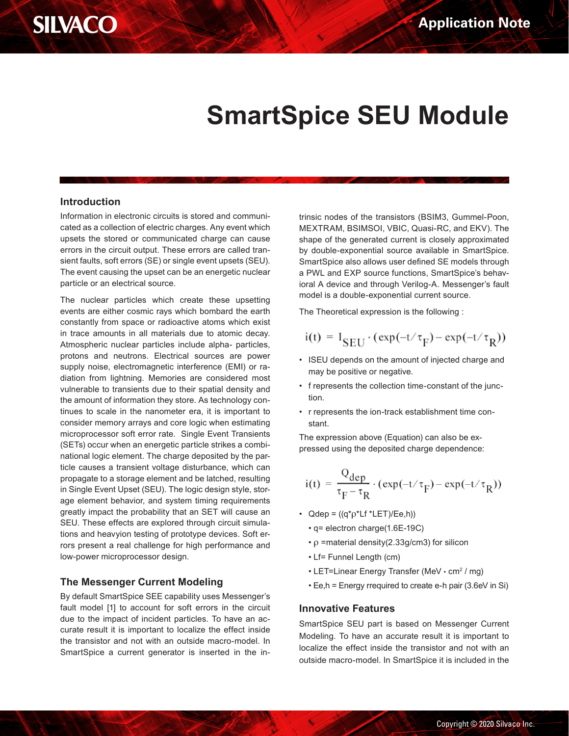

# **SmartSpice SEU Module**

### **Introduction**

Information in electronic circuits is stored and communicated as a collection of electric charges. Any event which upsets the stored or communicated charge can cause errors in the circuit output. These errors are called transient faults, soft errors (SE) or single event upsets (SEU). The event causing the upset can be an energetic nuclear particle or an electrical source.

The nuclear particles which create these upsetting events are either cosmic rays which bombard the earth constantly from space or radioactive atoms which exist in trace amounts in all materials due to atomic decay. Atmospheric nuclear particles include alpha- particles, protons and neutrons. Electrical sources are power supply noise, electromagnetic interference (EMI) or radiation from lightning. Memories are considered most vulnerable to transients due to their spatial density and the amount of information they store. As technology continues to scale in the nanometer era, it is important to consider memory arrays and core logic when estimating microprocessor soft error rate. Single Event Transients (SETs) occur when an energetic particle strikes a combinational logic element. The charge deposited by the particle causes a transient voltage disturbance, which can propagate to a storage element and be latched, resulting in Single Event Upset (SEU). The logic design style, storage element behavior, and system timing requirements greatly impact the probability that an SET will cause an SEU. These effects are explored through circuit simulations and heavyion testing of prototype devices. Soft errors present a real challenge for high performance and low-power microprocessor design.

### **The Messenger Current Modeling**

By default SmartSpice SEE capability uses Messenger's fault model [1] to account for soft errors in the circuit due to the impact of incident particles. To have an accurate result it is important to localize the effect inside the transistor and not with an outside macro-model. In SmartSpice a current generator is inserted in the intrinsic nodes of the transistors (BSIM3, Gummel-Poon, MEXTRAM, BSIMSOI, VBIC, Quasi-RC, and EKV). The shape of the generated current is closely approximated by double-exponential source available in SmartSpice. SmartSpice also allows user defined SE models through a PWL and EXP source functions, SmartSpice's behavioral A device and through Verilog-A. Messenger's fault model is a double-exponential current source.

The Theoretical expression is the following :

$$
i(t) = I_{SEU} \cdot (exp(-t/\tau_F) - exp(-t/\tau_R))
$$

- may be positive or negative.
- f represents the collection time-constant of the junction.
- r represents the ion-track establishment time constant.

The expression above (Equation) can also be expressed using the deposited charge dependence:

$$
i(t) = \frac{Q_{dep}}{\tau_F - \tau_R} \cdot (\exp(-t/\tau_F) - \exp(-t/\tau_R))
$$

- Qdep =  $((q^*p^*Lf^*LET)/Ee,h))$ 
	- q= electron charge(1.6E-19C)
	- $\rho$  =material density(2.33g/cm3) for silicon
	- Lf= Funnel Length (cm)
	- LET=Linear Energy Transfer (MeV  $\cdot$  cm<sup>2</sup> / mg)
	- Ee,h = Energy rrequired to create e-h pair (3.6eV in Si)

### **Innovative Features**

• ISEU depends on the amount of injected charge and<br>
• Inversents the collection time-constant of the junc-<br>
• frepresents the collection time-constant of the junc-<br>
• frepresents the ion-track establishment time con-<br>
st SmartSpice SEU part is based on Messenger Current Modeling. To have an accurate result it is important to localize the effect inside the transistor and not with an outside macro-model. In SmartSpice it is included in the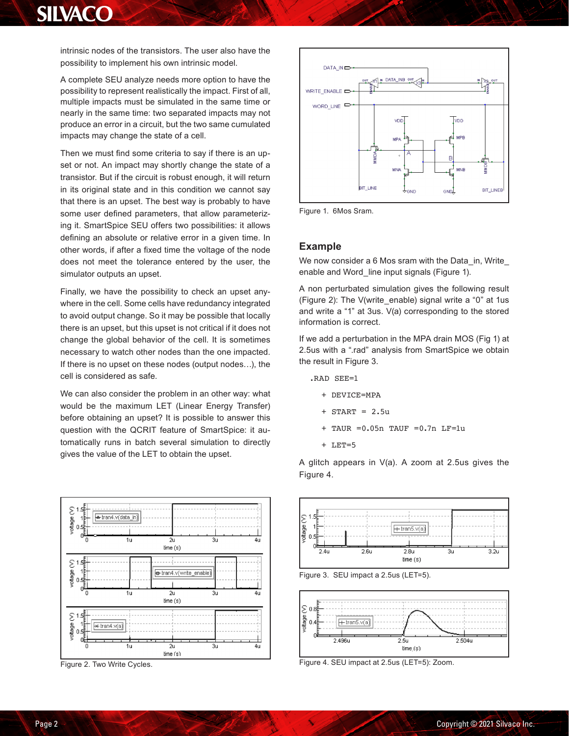## **SILVACO**

intrinsic nodes of the transistors. The user also have the possibility to implement his own intrinsic model.

A complete SEU analyze needs more option to have the possibility to represent realistically the impact. First of all, multiple impacts must be simulated in the same time or nearly in the same time: two separated impacts may not produce an error in a circuit, but the two same cumulated impacts may change the state of a cell.

Then we must find some criteria to say if there is an upset or not. An impact may shortly change the state of a transistor. But if the circuit is robust enough, it will return in its original state and in this condition we cannot say that there is an upset. The best way is probably to have some user defined parameters, that allow parameterizing it. SmartSpice SEU offers two possibilities: it allows defining an absolute or relative error in a given time. In other words, if after a fixed time the voltage of the node does not meet the tolerance entered by the user, the simulator outputs an upset.

Finally, we have the possibility to check an upset anywhere in the cell. Some cells have redundancy integrated to avoid output change. So it may be possible that locally there is an upset, but this upset is not critical if it does not change the global behavior of the cell. It is sometimes necessary to watch other nodes than the one impacted. If there is no upset on these nodes (output nodes…), the cell is considered as safe.

We can also consider the problem in an other way: what would be the maximum LET (Linear Energy Transfer) before obtaining an upset? It is possible to answer this question with the QCRIT feature of SmartSpice: it automatically runs in batch several simulation to directly gives the value of the LET to obtain the upset.



Figure 2. Two Write Cycles.



Figure 1. 6Mos Sram.

#### **Example**

We now consider a 6 Mos sram with the Data\_in, Write\_ enable and Word line input signals (Figure 1).

A non perturbated simulation gives the following result (Figure 2): The V(write\_enable) signal write a "0" at 1us and write a "1" at 3us. V(a) corresponding to the stored information is correct.

If we add a perturbation in the MPA drain MOS (Fig 1) at 2.5us with a ".rad" analysis from SmartSpice we obtain the result in Figure 3.

- .RAD SEE=1
	- + DEVICE=MPA
	- $+$  START = 2.5u
	- + TAUR =0.05n TAUF =0.7n LF=1u
	- + LET=5

A glitch appears in V(a). A zoom at 2.5us gives the Figure 4.



Figure 3. SEU impact a 2.5us (LET=5).



Figure 4. SEU impact at 2.5us (LET=5): Zoom.